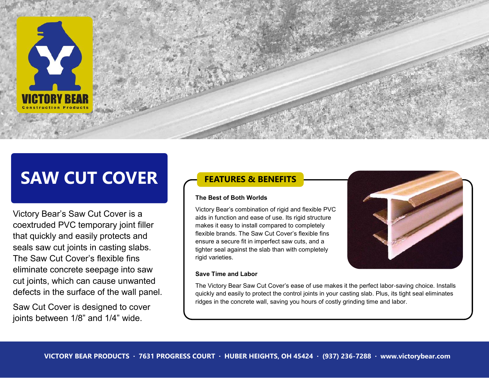

# **SAW CUT COVER**

Victory Bear's Saw Cut Cover is a coextruded PVC temporary joint filler that quickly and easily protects and seals saw cut joints in casting slabs. The Saw Cut Cover's flexible fins eliminate concrete seepage into saw cut joints, which can cause unwanted defects in the surface of the wall panel.

Saw Cut Cover is designed to cover joints between 1/8" and 1/4" wide.

### **FEATURES & BENEFITS**

#### **The Best of Both Worlds**

Victory Bear's combination of rigid and flexible PVC aids in function and ease of use. Its rigid structure makes it easy to install compared to completely flexible brands. The Saw Cut Cover's flexible fins ensure a secure fit in imperfect saw cuts, and a tighter seal against the slab than with completely rigid varieties.

#### **Save Time and Labor**



The Victory Bear Saw Cut Cover's ease of use makes it the perfect labor-saving choice. Installs quickly and easily to protect the control joints in your casting slab. Plus, its tight seal eliminates ridges in the concrete wall, saving you hours of costly grinding time and labor.